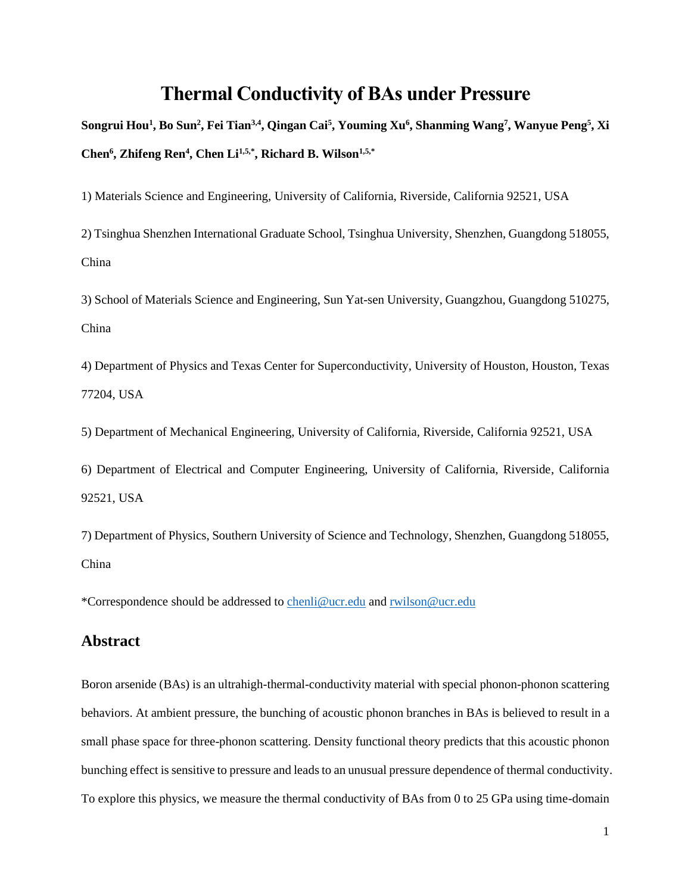## **Thermal Conductivity of BAs under Pressure**

Songrui Hou<sup>1</sup>, Bo Sun<sup>2</sup>, Fei Tian<sup>3,4</sup>, Qingan Cai<sup>5</sup>, Youming Xu<sup>6</sup>, Shanming Wang<sup>7</sup>, Wanyue Peng<sup>5</sup>, Xi **Chen<sup>6</sup> , Zhifeng Ren<sup>4</sup> , Chen Li1,5,\*, Richard B. Wilson1,5,\***

1) Materials Science and Engineering, University of California, Riverside, California 92521, USA

2) Tsinghua Shenzhen International Graduate School, Tsinghua University, Shenzhen, Guangdong 518055, China

3) School of Materials Science and Engineering, Sun Yat-sen University, Guangzhou, Guangdong 510275, China

4) Department of Physics and Texas Center for Superconductivity, University of Houston, Houston, Texas 77204, USA

5) Department of Mechanical Engineering, University of California, Riverside, California 92521, USA

6) Department of Electrical and Computer Engineering, University of California, Riverside, California 92521, USA

7) Department of Physics, Southern University of Science and Technology, Shenzhen, Guangdong 518055, China

\*Correspondence should be addressed to [chenli@ucr.edu](mailto:chenli@ucr.edu) and [rwilson@ucr.edu](mailto:rwilson@ucr.edu)

#### **Abstract**

Boron arsenide (BAs) is an ultrahigh-thermal-conductivity material with special phonon-phonon scattering behaviors. At ambient pressure, the bunching of acoustic phonon branches in BAs is believed to result in a small phase space for three-phonon scattering. Density functional theory predicts that this acoustic phonon bunching effect is sensitive to pressure and leads to an unusual pressure dependence of thermal conductivity. To explore this physics, we measure the thermal conductivity of BAs from 0 to 25 GPa using time-domain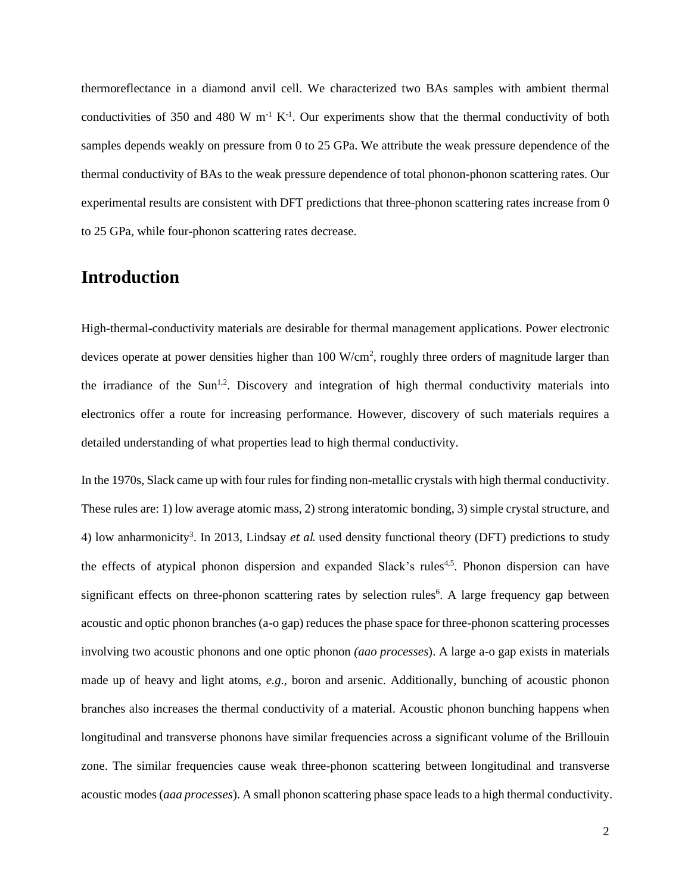thermoreflectance in a diamond anvil cell. We characterized two BAs samples with ambient thermal conductivities of 350 and 480 W  $m^{-1} K^{-1}$ . Our experiments show that the thermal conductivity of both samples depends weakly on pressure from 0 to 25 GPa. We attribute the weak pressure dependence of the thermal conductivity of BAs to the weak pressure dependence of total phonon-phonon scattering rates. Our experimental results are consistent with DFT predictions that three-phonon scattering rates increase from 0 to 25 GPa, while four-phonon scattering rates decrease.

# **Introduction**

High-thermal-conductivity materials are desirable for thermal management applications. Power electronic devices operate at power densities higher than  $100 \text{ W/cm}^2$ , roughly three orders of magnitude larger than the irradiance of the  $Sun^{1,2}$ . Discovery and integration of high thermal conductivity materials into electronics offer a route for increasing performance. However, discovery of such materials requires a detailed understanding of what properties lead to high thermal conductivity.

In the 1970s, Slack came up with four rules for finding non-metallic crystals with high thermal conductivity. These rules are: 1) low average atomic mass, 2) strong interatomic bonding, 3) simple crystal structure, and 4) low anharmonicity<sup>3</sup>. In 2013, Lindsay *et al.* used density functional theory (DFT) predictions to study the effects of atypical phonon dispersion and expanded Slack's rules<sup>4,5</sup>. Phonon dispersion can have significant effects on three-phonon scattering rates by selection rules<sup>6</sup>. A large frequency gap between acoustic and optic phonon branches (a-o gap) reduces the phase space for three-phonon scattering processes involving two acoustic phonons and one optic phonon *(aao processes*). A large a-o gap exists in materials made up of heavy and light atoms, *e.g*., boron and arsenic. Additionally, bunching of acoustic phonon branches also increases the thermal conductivity of a material. Acoustic phonon bunching happens when longitudinal and transverse phonons have similar frequencies across a significant volume of the Brillouin zone. The similar frequencies cause weak three-phonon scattering between longitudinal and transverse acoustic modes (*aaa processes*). A small phonon scattering phase space leads to a high thermal conductivity.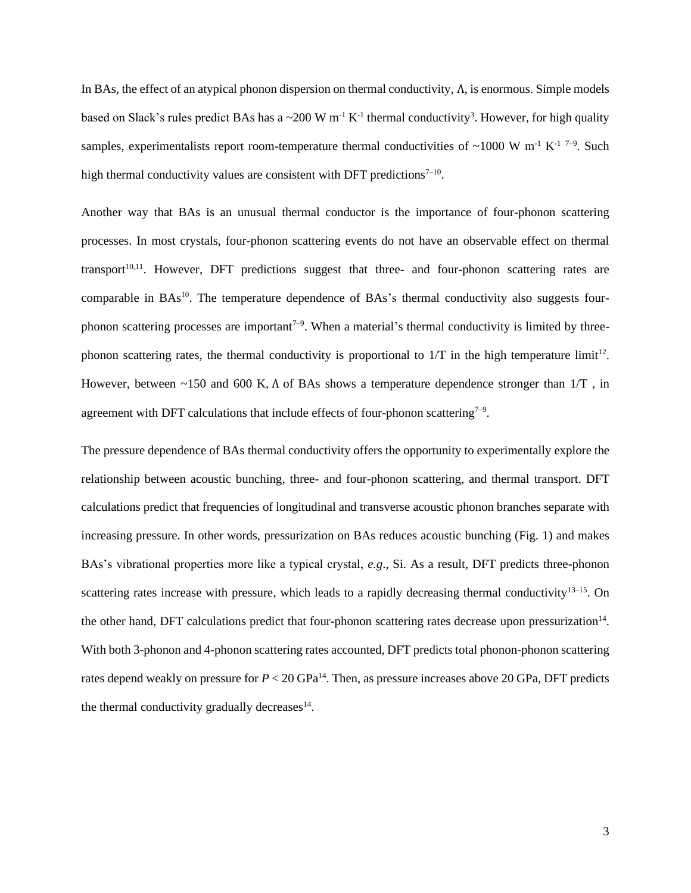In BAs, the effect of an atypical phonon dispersion on thermal conductivity, Λ, is enormous. Simple models based on Slack's rules predict BAs has a  $\sim$  200 W m<sup>-1</sup> K<sup>-1</sup> thermal conductivity<sup>3</sup>. However, for high quality samples, experimentalists report room-temperature thermal conductivities of  $\sim$ 1000 W m<sup>-1</sup> K<sup>-1 7-9</sup>. Such high thermal conductivity values are consistent with DFT predictions $7-10$ .

Another way that BAs is an unusual thermal conductor is the importance of four-phonon scattering processes. In most crystals, four-phonon scattering events do not have an observable effect on thermal transport $10,11$ . However, DFT predictions suggest that three- and four-phonon scattering rates are comparable in BAs<sup>10</sup>. The temperature dependence of BAs's thermal conductivity also suggests fourphonon scattering processes are important<sup> $7-9$ </sup>. When a material's thermal conductivity is limited by threephonon scattering rates, the thermal conductivity is proportional to 1/T in the high temperature limit<sup>12</sup>. However, between ~150 and 600 K, Λ of BAs shows a temperature dependence stronger than 1/T , in agreement with DFT calculations that include effects of four-phonon scattering<sup> $7-9$ </sup>.

The pressure dependence of BAs thermal conductivity offers the opportunity to experimentally explore the relationship between acoustic bunching, three- and four-phonon scattering, and thermal transport. DFT calculations predict that frequencies of longitudinal and transverse acoustic phonon branches separate with increasing pressure. In other words, pressurization on BAs reduces acoustic bunching (Fig. 1) and makes BAs's vibrational properties more like a typical crystal, *e.g*., Si. As a result, DFT predicts three-phonon scattering rates increase with pressure, which leads to a rapidly decreasing thermal conductivity $13-15$ . On the other hand, DFT calculations predict that four-phonon scattering rates decrease upon pressurization<sup>14</sup>. With both 3-phonon and 4-phonon scattering rates accounted, DFT predicts total phonon-phonon scattering rates depend weakly on pressure for  $P < 20$  GPa<sup>14</sup>. Then, as pressure increases above 20 GPa, DFT predicts the thermal conductivity gradually decreases $14$ .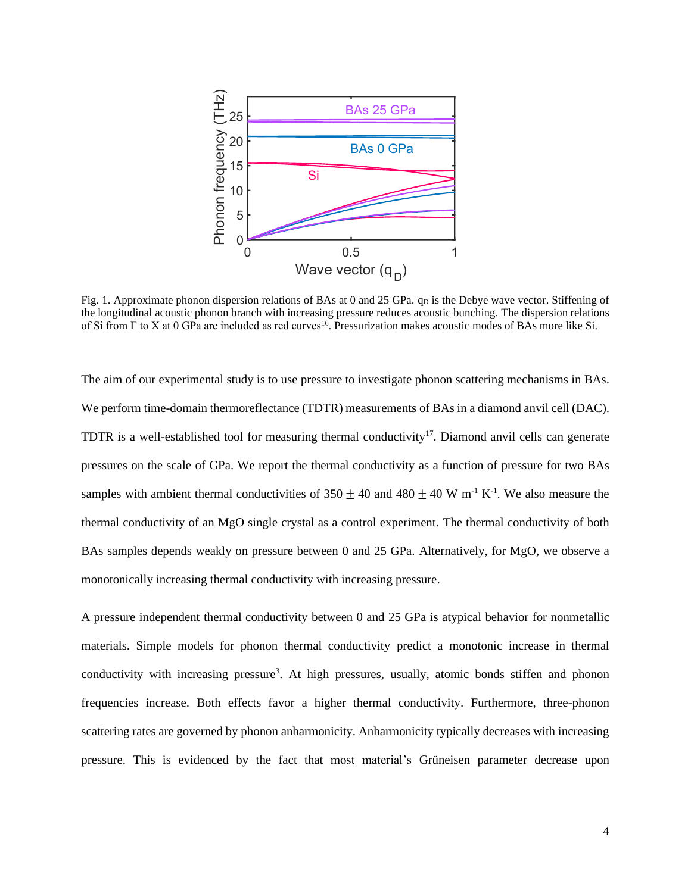

Fig. 1. Approximate phonon dispersion relations of BAs at 0 and 25 GPa.  $q_D$  is the Debye wave vector. Stiffening of the longitudinal acoustic phonon branch with increasing pressure reduces acoustic bunching. The dispersion relations of Si from  $\Gamma$  to X at 0 GPa are included as red curves<sup>16</sup>. Pressurization makes acoustic modes of BAs more like Si.

The aim of our experimental study is to use pressure to investigate phonon scattering mechanisms in BAs. We perform time-domain thermoreflectance (TDTR) measurements of BAs in a diamond anvil cell (DAC). TDTR is a well-established tool for measuring thermal conductivity<sup>17</sup>. Diamond anvil cells can generate pressures on the scale of GPa. We report the thermal conductivity as a function of pressure for two BAs samples with ambient thermal conductivities of  $350 \pm 40$  and  $480 \pm 40$  W m<sup>-1</sup> K<sup>-1</sup>. We also measure the thermal conductivity of an MgO single crystal as a control experiment. The thermal conductivity of both BAs samples depends weakly on pressure between 0 and 25 GPa. Alternatively, for MgO, we observe a monotonically increasing thermal conductivity with increasing pressure.

A pressure independent thermal conductivity between 0 and 25 GPa is atypical behavior for nonmetallic materials. Simple models for phonon thermal conductivity predict a monotonic increase in thermal conductivity with increasing pressure<sup>3</sup>. At high pressures, usually, atomic bonds stiffen and phonon frequencies increase. Both effects favor a higher thermal conductivity. Furthermore, three-phonon scattering rates are governed by phonon anharmonicity. Anharmonicity typically decreases with increasing pressure. This is evidenced by the fact that most material's Grüneisen parameter decrease upon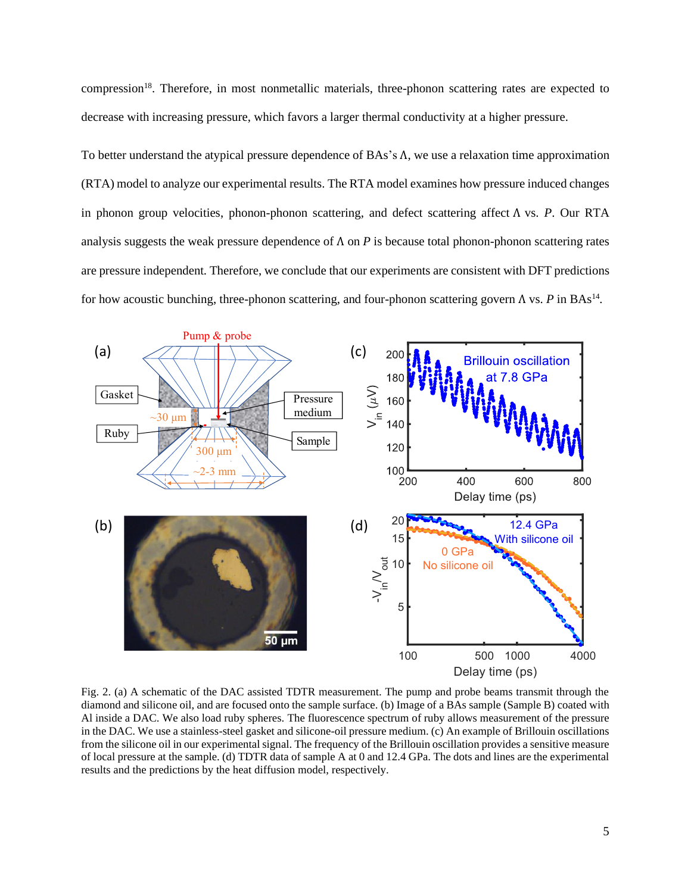compression<sup>18</sup>. Therefore, in most nonmetallic materials, three-phonon scattering rates are expected to decrease with increasing pressure, which favors a larger thermal conductivity at a higher pressure.

To better understand the atypical pressure dependence of BAs's Λ, we use a relaxation time approximation (RTA) model to analyze our experimental results. The RTA model examines how pressure induced changes in phonon group velocities, phonon-phonon scattering, and defect scattering affect Λ vs. *P*. Our RTA analysis suggests the weak pressure dependence of Λ on *P* is because total phonon-phonon scattering rates are pressure independent*.* Therefore, we conclude that our experiments are consistent with DFT predictions for how acoustic bunching, three-phonon scattering, and four-phonon scattering govern Λ vs. P in BAs<sup>14</sup>.



Fig. 2. (a) A schematic of the DAC assisted TDTR measurement. The pump and probe beams transmit through the diamond and silicone oil, and are focused onto the sample surface. (b) Image of a BAs sample (Sample B) coated with Al inside a DAC. We also load ruby spheres. The fluorescence spectrum of ruby allows measurement of the pressure in the DAC. We use a stainless-steel gasket and silicone-oil pressure medium. (c) An example of Brillouin oscillations from the silicone oil in our experimental signal. The frequency of the Brillouin oscillation provides a sensitive measure of local pressure at the sample. (d) TDTR data of sample A at 0 and 12.4 GPa. The dots and lines are the experimental results and the predictions by the heat diffusion model, respectively.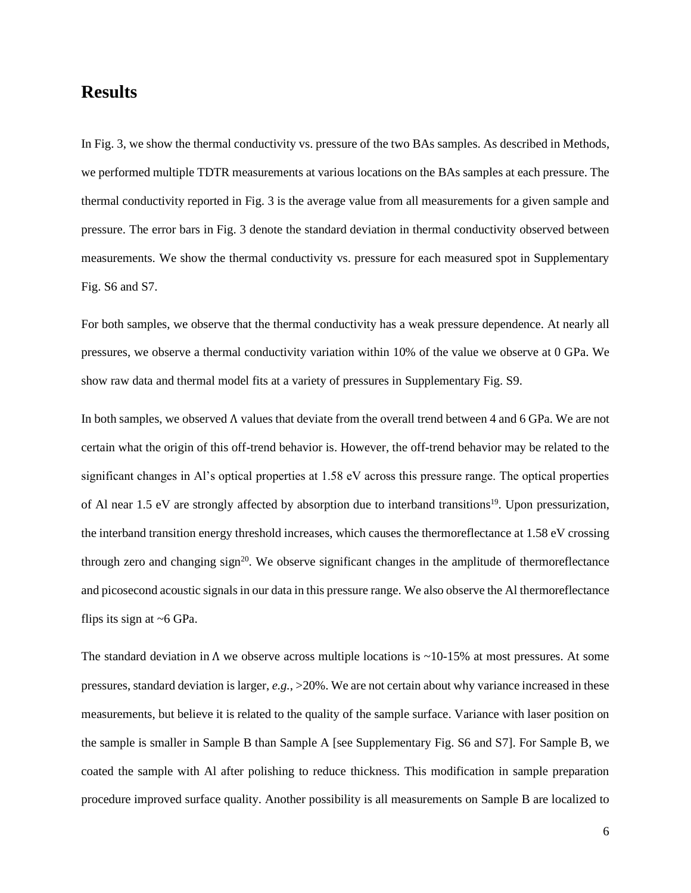### **Results**

In Fig. 3, we show the thermal conductivity vs. pressure of the two BAs samples. As described in Methods, we performed multiple TDTR measurements at various locations on the BAs samples at each pressure. The thermal conductivity reported in Fig. 3 is the average value from all measurements for a given sample and pressure. The error bars in Fig. 3 denote the standard deviation in thermal conductivity observed between measurements. We show the thermal conductivity vs. pressure for each measured spot in Supplementary Fig. S6 and S7.

For both samples, we observe that the thermal conductivity has a weak pressure dependence. At nearly all pressures, we observe a thermal conductivity variation within 10% of the value we observe at 0 GPa. We show raw data and thermal model fits at a variety of pressures in Supplementary Fig. S9.

In both samples, we observed Λ values that deviate from the overall trend between 4 and 6 GPa. We are not certain what the origin of this off-trend behavior is. However, the off-trend behavior may be related to the significant changes in Al's optical properties at 1.58 eV across this pressure range. The optical properties of Al near 1.5 eV are strongly affected by absorption due to interband transitions<sup>19</sup>. Upon pressurization, the interband transition energy threshold increases, which causes the thermoreflectance at 1.58 eV crossing through zero and changing  $sign^{20}$ . We observe significant changes in the amplitude of thermoreflectance and picosecond acoustic signals in our data in this pressure range. We also observe the Al thermoreflectance flips its sign at  $~6$  GPa.

The standard deviation in  $\Lambda$  we observe across multiple locations is ~10-15% at most pressures. At some pressures, standard deviation is larger, *e.g.*, >20%. We are not certain about why variance increased in these measurements, but believe it is related to the quality of the sample surface. Variance with laser position on the sample is smaller in Sample B than Sample A [see Supplementary Fig. S6 and S7]. For Sample B, we coated the sample with Al after polishing to reduce thickness. This modification in sample preparation procedure improved surface quality. Another possibility is all measurements on Sample B are localized to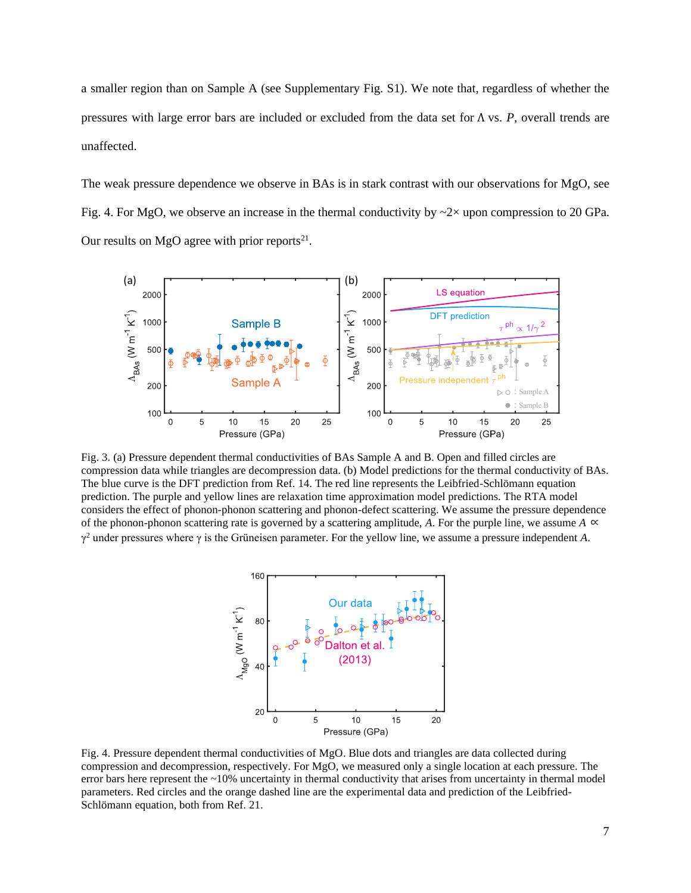a smaller region than on Sample A (see Supplementary Fig. S1). We note that, regardless of whether the pressures with large error bars are included or excluded from the data set for Λ vs. *P*, overall trends are unaffected.

The weak pressure dependence we observe in BAs is in stark contrast with our observations for MgO, see Fig. 4. For MgO, we observe an increase in the thermal conductivity by  $\sim$ 2 $\times$  upon compression to 20 GPa. Our results on MgO agree with prior reports<sup>21</sup>.



Fig. 3. (a) Pressure dependent thermal conductivities of BAs Sample A and B. Open and filled circles are compression data while triangles are decompression data. (b) Model predictions for the thermal conductivity of BAs. The blue curve is the DFT prediction from Ref. 14. The red line represents the Leibfried-Schlömann equation prediction. The purple and yellow lines are relaxation time approximation model predictions. The RTA model considers the effect of phonon-phonon scattering and phonon-defect scattering. We assume the pressure dependence of the phonon-phonon scattering rate is governed by a scattering amplitude, A. For the purple line, we assume  $A \propto$  $\gamma^2$  under pressures where  $\gamma$  is the Grüneisen parameter. For the yellow line, we assume a pressure independent A.



<span id="page-6-0"></span>Fig. 4. Pressure dependent thermal conductivities of MgO. Blue dots and triangles are data collected during compression and decompression, respectively. For MgO, we measured only a single location at each pressure. The error bars here represent the ~10% uncertainty in thermal conductivity that arises from uncertainty in thermal model parameters. Red circles and the orange dashed line are the experimental data and prediction of the Leibfried-Schlömann equation, both from Ref. 21.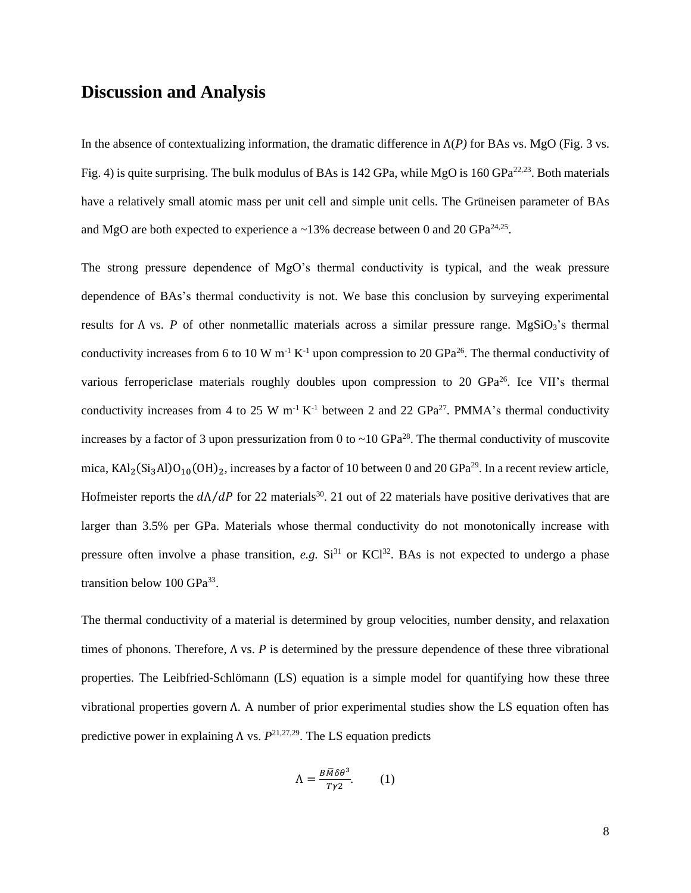### **Discussion and Analysis**

In the absence of contextualizing information, the dramatic difference in  $\Lambda(P)$  for BAs vs. MgO (Fig. 3 vs. Fig. 4) is quite surprising. The bulk modulus of BAs is 142 GPa, while MgO is 160 GPa<sup>22,23</sup>. Both materials have a relatively small atomic mass per unit cell and simple unit cells. The Grüneisen parameter of BAs and MgO are both expected to experience a  $\sim$ 13% decrease between 0 and 20 GPa<sup>24,25</sup>.

The strong pressure dependence of MgO's thermal conductivity is typical, and the weak pressure dependence of BAs's thermal conductivity is not. We base this conclusion by surveying experimental results for Λ vs. *P* of other nonmetallic materials across a similar pressure range. MgSiO3's thermal conductivity increases from 6 to 10 W m<sup>-1</sup> K<sup>-1</sup> upon compression to 20 GPa<sup>26</sup>. The thermal conductivity of various ferropericlase materials roughly doubles upon compression to 20 GPa<sup>26</sup>. Ice VII's thermal conductivity increases from 4 to 25 W m<sup>-1</sup> K<sup>-1</sup> between 2 and 22 GPa<sup>27</sup>. PMMA's thermal conductivity increases by a factor of 3 upon pressurization from 0 to  $\sim$  10 GPa<sup>28</sup>. The thermal conductivity of muscovite mica,  $\text{KAl}_2(\text{Si}_3\text{Al})\text{O}_{10}(\text{OH})_2$ , increases by a factor of 10 between 0 and 20 GPa<sup>29</sup>. In a recent review article, Hofmeister reports the  $dA/dP$  for 22 materials<sup>30</sup>. 21 out of 22 materials have positive derivatives that are larger than 3.5% per GPa. Materials whose thermal conductivity do not monotonically increase with pressure often involve a phase transition, *e.g.*  $Si<sup>31</sup>$  or  $KCl<sup>32</sup>$ . BAs is not expected to undergo a phase transition below 100 GPa<sup>33</sup>.

The thermal conductivity of a material is determined by group velocities, number density, and relaxation times of phonons. Therefore, Λ vs. *P* is determined by the pressure dependence of these three vibrational properties. The Leibfried-Schlömann (LS) equation is a simple model for quantifying how these three vibrational properties govern Λ. A number of prior experimental studies show the LS equation often has predictive power in explaining  $\Lambda$  vs.  $P^{21,27,29}$ . The LS equation predicts

$$
\Lambda = \frac{B\bar{M}\delta\theta^3}{T\gamma 2}.
$$
 (1)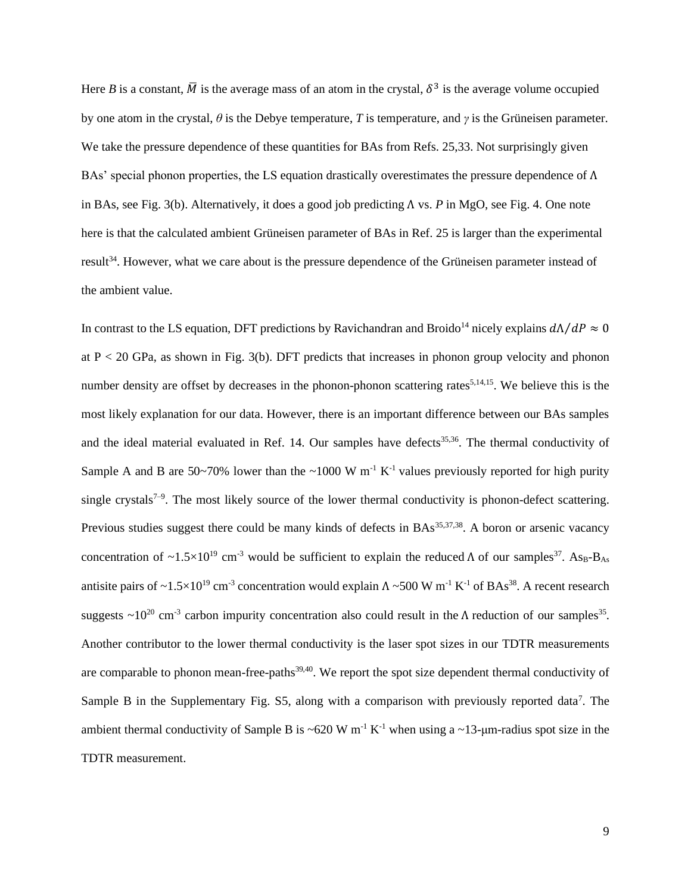Here *B* is a constant,  $\overline{M}$  is the average mass of an atom in the crystal,  $\delta^3$  is the average volume occupied by one atom in the crystal, *θ* is the Debye temperature, *T* is temperature, and *γ* is the Grüneisen parameter. We take the pressure dependence of these quantities for BAs from Refs. 25,33. Not surprisingly given BAs' special phonon properties, the LS equation drastically overestimates the pressure dependence of  $\Lambda$ in BAs, see Fig. 3(b). Alternatively, it does a good job predicting Λ vs. *P* in MgO, see [Fig. 4.](#page-6-0) One note here is that the calculated ambient Grüneisen parameter of BAs in Ref. 25 is larger than the experimental result<sup>34</sup>. However, what we care about is the pressure dependence of the Grüneisen parameter instead of the ambient value.

In contrast to the LS equation, DFT predictions by Ravichandran and Broido<sup>14</sup> nicely explains  $d\Lambda/dP \approx 0$ at  $P < 20$  GPa, as shown in Fig. 3(b). DFT predicts that increases in phonon group velocity and phonon number density are offset by decreases in the phonon-phonon scattering rates<sup>5,14,15</sup>. We believe this is the most likely explanation for our data. However, there is an important difference between our BAs samples and the ideal material evaluated in Ref. 14. Our samples have defects<sup>35,36</sup>. The thermal conductivity of Sample A and B are 50~70% lower than the ~1000 W  $m^{-1}$  K<sup>-1</sup> values previously reported for high purity single crystals<sup>7-9</sup>. The most likely source of the lower thermal conductivity is phonon-defect scattering. Previous studies suggest there could be many kinds of defects in  $BAs<sup>35,37,38</sup>$ . A boron or arsenic vacancy concentration of  $\sim$ 1.5×10<sup>19</sup> cm<sup>-3</sup> would be sufficient to explain the reduced Λ of our samples<sup>37</sup>. As<sub>B</sub>-B<sub>As</sub> antisite pairs of ~1.5×10<sup>19</sup> cm<sup>-3</sup> concentration would explain  $\Lambda$  ~500 W m<sup>-1</sup> K<sup>-1</sup> of BAs<sup>38</sup>. A recent research suggests  $\sim 10^{20}$  cm<sup>-3</sup> carbon impurity concentration also could result in the  $\Lambda$  reduction of our samples<sup>35</sup>. Another contributor to the lower thermal conductivity is the laser spot sizes in our TDTR measurements are comparable to phonon mean-free-paths<sup>39,40</sup>. We report the spot size dependent thermal conductivity of Sample B in the Supplementary Fig. S5, along with a comparison with previously reported data<sup>7</sup>. The ambient thermal conductivity of Sample B is ~620 W m<sup>-1</sup> K<sup>-1</sup> when using a ~13-µm-radius spot size in the TDTR measurement.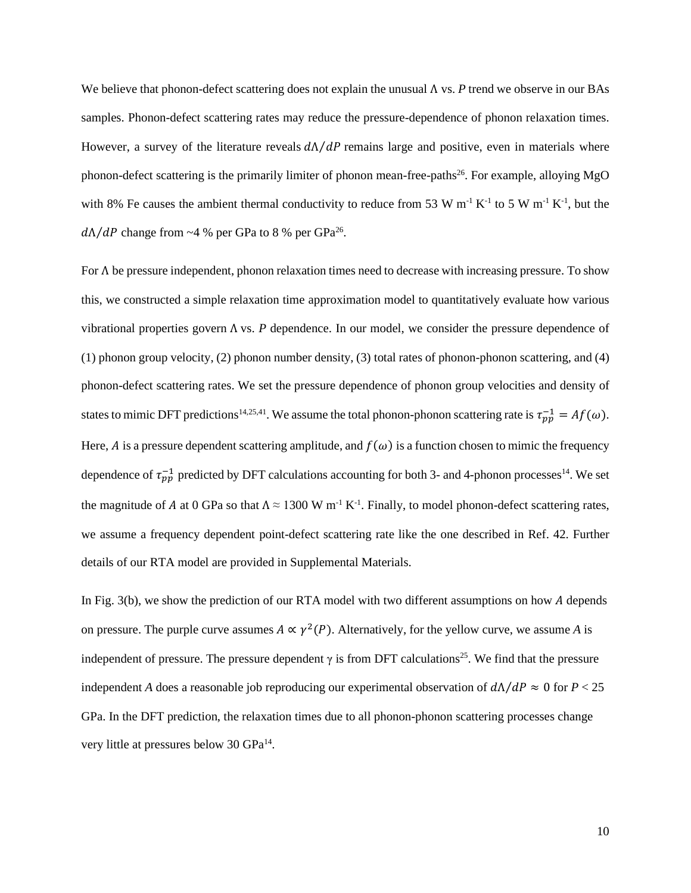We believe that phonon-defect scattering does not explain the unusual Λ vs. *P* trend we observe in our BAs samples. Phonon-defect scattering rates may reduce the pressure-dependence of phonon relaxation times. However, a survey of the literature reveals  $dA/dP$  remains large and positive, even in materials where phonon-defect scattering is the primarily limiter of phonon mean-free-paths<sup>26</sup>. For example, alloying MgO with 8% Fe causes the ambient thermal conductivity to reduce from 53 W  $m^{-1} K^{-1}$  to 5 W  $m^{-1} K^{-1}$ , but the  $d\Lambda/dP$  change from ~4 % per GPa to 8 % per GPa<sup>26</sup>.

For Λ be pressure independent, phonon relaxation times need to decrease with increasing pressure. To show this, we constructed a simple relaxation time approximation model to quantitatively evaluate how various vibrational properties govern Λ vs. *P* dependence. In our model, we consider the pressure dependence of (1) phonon group velocity, (2) phonon number density, (3) total rates of phonon-phonon scattering, and (4) phonon-defect scattering rates. We set the pressure dependence of phonon group velocities and density of states to mimic DFT predictions<sup>14,25,41</sup>. We assume the total phonon-phonon scattering rate is  $\tau_{pp}^{-1} = Af(\omega)$ . Here, A is a pressure dependent scattering amplitude, and  $f(\omega)$  is a function chosen to mimic the frequency dependence of  $\tau_{pp}^{-1}$  predicted by DFT calculations accounting for both 3- and 4-phonon processes<sup>14</sup>. We set the magnitude of A at 0 GPa so that  $\Lambda \approx 1300 \text{ W m}^{-1} \text{ K}^{-1}$ . Finally, to model phonon-defect scattering rates, we assume a frequency dependent point-defect scattering rate like the one described in Ref. 42. Further details of our RTA model are provided in Supplemental Materials.

In Fig.  $3(b)$ , we show the prediction of our RTA model with two different assumptions on how A depends on pressure. The purple curve assumes  $A \propto \gamma^2(P)$ . Alternatively, for the yellow curve, we assume A is independent of pressure. The pressure dependent  $\gamma$  is from DFT calculations<sup>25</sup>. We find that the pressure independent *A* does a reasonable job reproducing our experimental observation of  $dA/dP \approx 0$  for  $P < 25$ GPa. In the DFT prediction, the relaxation times due to all phonon-phonon scattering processes change very little at pressures below 30 GPa<sup>14</sup>.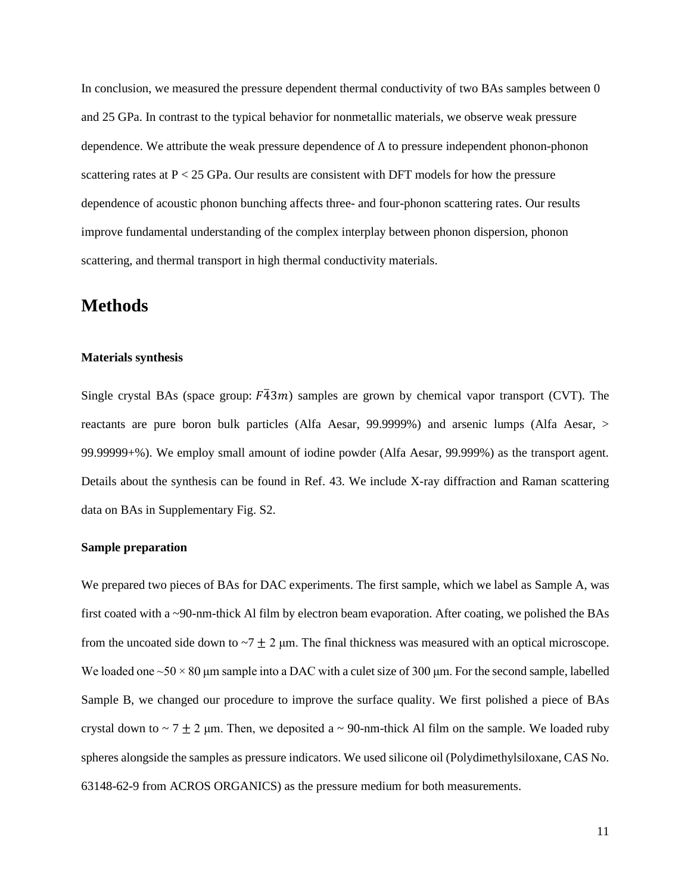In conclusion, we measured the pressure dependent thermal conductivity of two BAs samples between 0 and 25 GPa. In contrast to the typical behavior for nonmetallic materials, we observe weak pressure dependence. We attribute the weak pressure dependence of  $\Lambda$  to pressure independent phonon-phonon scattering rates at  $P < 25$  GPa. Our results are consistent with DFT models for how the pressure dependence of acoustic phonon bunching affects three- and four-phonon scattering rates. Our results improve fundamental understanding of the complex interplay between phonon dispersion, phonon scattering, and thermal transport in high thermal conductivity materials.

### **Methods**

#### **Materials synthesis**

Single crystal BAs (space group:  $F\overline{4}3m$ ) samples are grown by chemical vapor transport (CVT). The reactants are pure boron bulk particles (Alfa Aesar, 99.9999%) and arsenic lumps (Alfa Aesar, > 99.99999+%). We employ small amount of iodine powder (Alfa Aesar, 99.999%) as the transport agent. Details about the synthesis can be found in Ref. 43. We include X-ray diffraction and Raman scattering data on BAs in Supplementary Fig. S2.

#### **Sample preparation**

We prepared two pieces of BAs for DAC experiments. The first sample, which we label as Sample A, was first coated with a ~90-nm-thick Al film by electron beam evaporation. After coating, we polished the BAs from the uncoated side down to  $-7 \pm 2$  μm. The final thickness was measured with an optical microscope. We loaded one  $\sim$  50  $\times$  80 µm sample into a DAC with a culet size of 300 µm. For the second sample, labelled Sample B, we changed our procedure to improve the surface quality. We first polished a piece of BAs crystal down to  $\sim$  7  $\pm$  2 µm. Then, we deposited a  $\sim$  90-nm-thick Al film on the sample. We loaded ruby spheres alongside the samples as pressure indicators. We used silicone oil (Polydimethylsiloxane, CAS No. 63148-62-9 from ACROS ORGANICS) as the pressure medium for both measurements.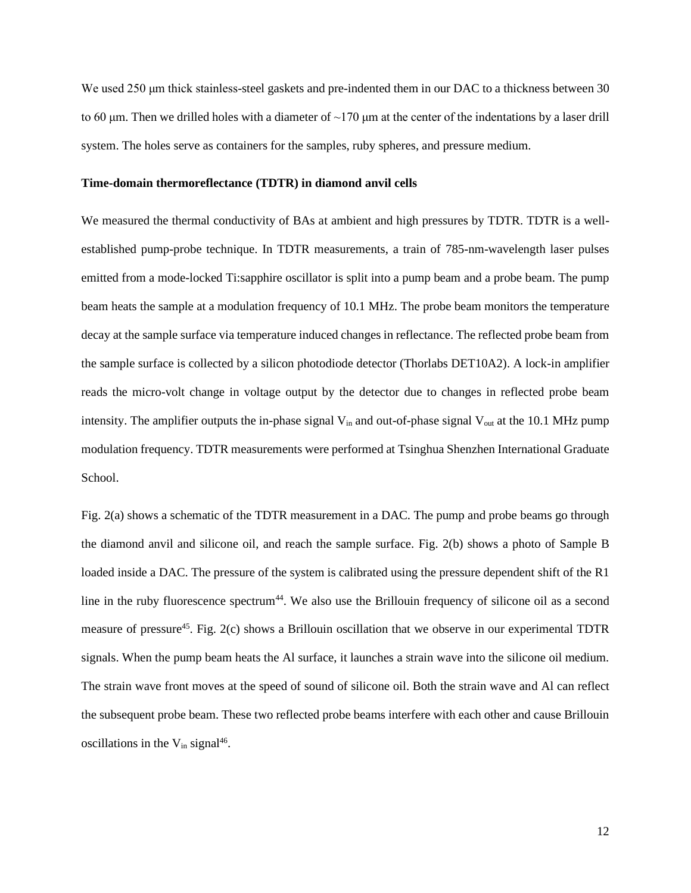We used 50 μm thick stainless-steel gaskets and pre-indented them in our DAC to a thickness between 30 to 60 μm. Then we drilled holes with a diameter of  $\sim$ 170 μm at the center of the indentations by a laser drill system. The holes serve as containers for the samples, ruby spheres, and pressure medium.

#### **Time-domain thermoreflectance (TDTR) in diamond anvil cells**

We measured the thermal conductivity of BAs at ambient and high pressures by TDTR. TDTR is a wellestablished pump-probe technique. In TDTR measurements, a train of 785-nm-wavelength laser pulses emitted from a mode-locked Ti:sapphire oscillator is split into a pump beam and a probe beam. The pump beam heats the sample at a modulation frequency of 10.1 MHz. The probe beam monitors the temperature decay at the sample surface via temperature induced changes in reflectance. The reflected probe beam from the sample surface is collected by a silicon photodiode detector (Thorlabs DET10A2). A lock-in amplifier reads the micro-volt change in voltage output by the detector due to changes in reflected probe beam intensity. The amplifier outputs the in-phase signal  $V_{in}$  and out-of-phase signal  $V_{out}$  at the 10.1 MHz pump modulation frequency. TDTR measurements were performed at Tsinghua Shenzhen International Graduate School.

Fig. 2(a) shows a schematic of the TDTR measurement in a DAC. The pump and probe beams go through the diamond anvil and silicone oil, and reach the sample surface. Fig. 2(b) shows a photo of Sample B loaded inside a DAC. The pressure of the system is calibrated using the pressure dependent shift of the R1 line in the ruby fluorescence spectrum<sup>44</sup>. We also use the Brillouin frequency of silicone oil as a second measure of pressure<sup>45</sup>. Fig. 2(c) shows a Brillouin oscillation that we observe in our experimental TDTR signals. When the pump beam heats the Al surface, it launches a strain wave into the silicone oil medium. The strain wave front moves at the speed of sound of silicone oil. Both the strain wave and Al can reflect the subsequent probe beam. These two reflected probe beams interfere with each other and cause Brillouin oscillations in the  $V_{in}$  signal<sup>46</sup>.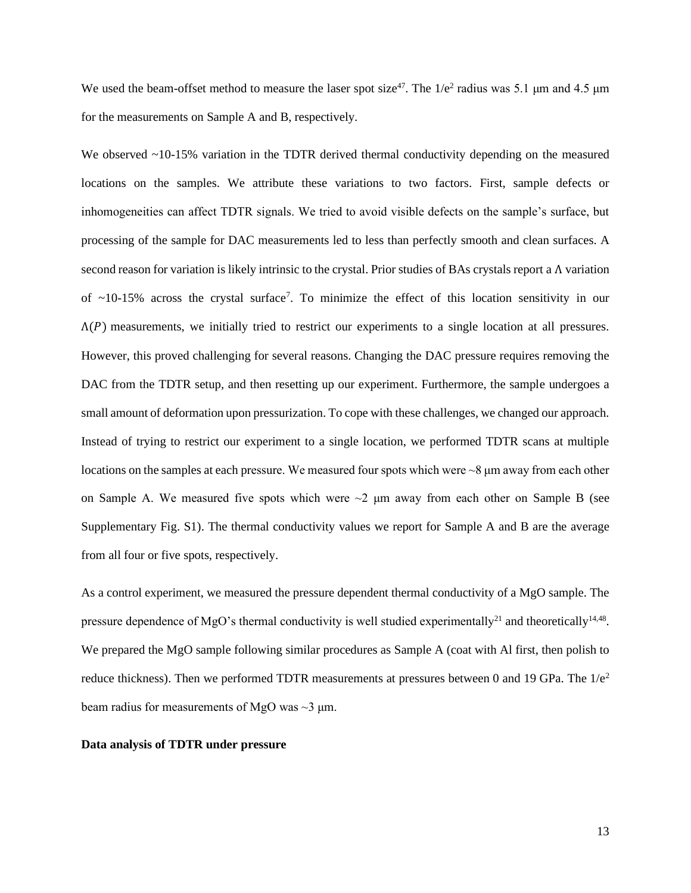We used the beam-offset method to measure the laser spot size<sup>47</sup>. The  $1/e^2$  radius was 5.1 µm and 4.5 µm for the measurements on Sample A and B, respectively.

We observed ~10-15% variation in the TDTR derived thermal conductivity depending on the measured locations on the samples. We attribute these variations to two factors. First, sample defects or inhomogeneities can affect TDTR signals. We tried to avoid visible defects on the sample's surface, but processing of the sample for DAC measurements led to less than perfectly smooth and clean surfaces. A second reason for variation is likely intrinsic to the crystal. Prior studies of BAs crystals report a  $\Lambda$  variation of ~10-15% across the crystal surface<sup>7</sup>. To minimize the effect of this location sensitivity in our  $\Lambda(P)$  measurements, we initially tried to restrict our experiments to a single location at all pressures. However, this proved challenging for several reasons. Changing the DAC pressure requires removing the DAC from the TDTR setup, and then resetting up our experiment. Furthermore, the sample undergoes a small amount of deformation upon pressurization. To cope with these challenges, we changed our approach. Instead of trying to restrict our experiment to a single location, we performed TDTR scans at multiple locations on the samples at each pressure. We measured four spots which were  $\sim 8 \mu m$  away from each other on Sample A. We measured five spots which were  $\sim$ 2  $\mu$ m away from each other on Sample B (see Supplementary Fig. S1). The thermal conductivity values we report for Sample A and B are the average from all four or five spots, respectively.

As a control experiment, we measured the pressure dependent thermal conductivity of a MgO sample. The pressure dependence of MgO's thermal conductivity is well studied experimentally<sup>21</sup> and theoretically<sup>14,48</sup>. We prepared the MgO sample following similar procedures as Sample A (coat with Al first, then polish to reduce thickness). Then we performed TDTR measurements at pressures between 0 and 19 GPa. The  $1/e<sup>2</sup>$ beam radius for measurements of MgO was  $\sim$ 3  $\mu$ m.

#### **Data analysis of TDTR under pressure**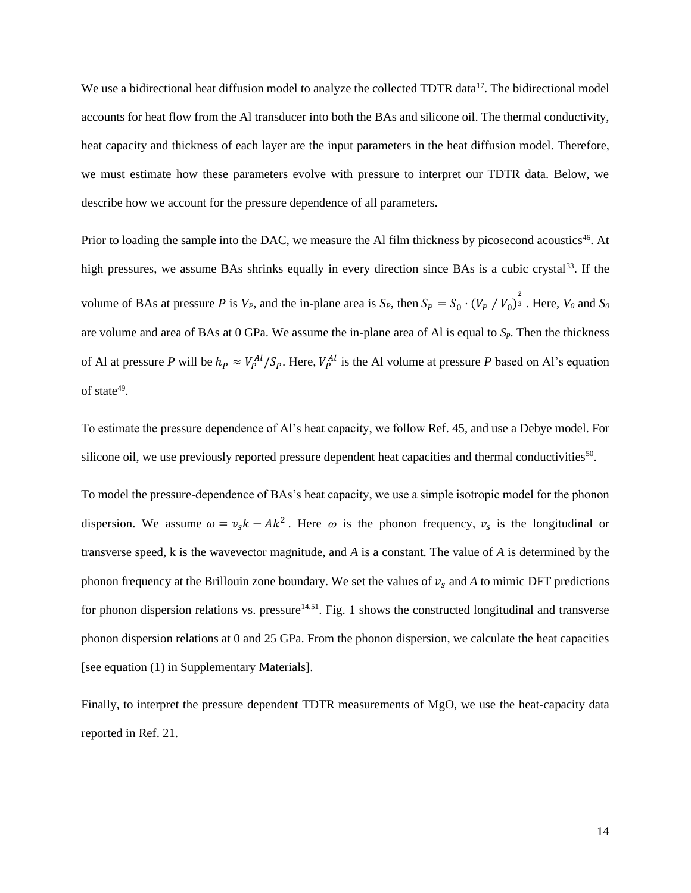We use a bidirectional heat diffusion model to analyze the collected TDTR data<sup>17</sup>. The bidirectional model accounts for heat flow from the Al transducer into both the BAs and silicone oil. The thermal conductivity, heat capacity and thickness of each layer are the input parameters in the heat diffusion model. Therefore, we must estimate how these parameters evolve with pressure to interpret our TDTR data. Below, we describe how we account for the pressure dependence of all parameters.

Prior to loading the sample into the DAC, we measure the Al film thickness by picosecond acoustics<sup>46</sup>. At high pressures, we assume BAs shrinks equally in every direction since BAs is a cubic crystal<sup>33</sup>. If the volume of BAs at pressure *P* is  $V_P$ , and the in-plane area is  $S_P$ , then  $S_P = S_0 \cdot (V_P / V_0)^{\frac{2}{3}}$ . Here,  $V_0$  and  $S_0$ are volume and area of BAs at 0 GPa. We assume the in-plane area of Al is equal to *Sp*. Then the thickness of Al at pressure *P* will be  $h_P \approx V_P^{Al}/S_P$ . Here,  $V_P^{Al}$  is the Al volume at pressure *P* based on Al's equation of state $49$ .

To estimate the pressure dependence of Al's heat capacity, we follow Ref. 45, and use a Debye model. For silicone oil, we use previously reported pressure dependent heat capacities and thermal conductivities<sup>50</sup>.

To model the pressure-dependence of BAs's heat capacity, we use a simple isotropic model for the phonon dispersion. We assume  $\omega = v_s k - Ak^2$ . Here  $\omega$  is the phonon frequency,  $v_s$  is the longitudinal or transverse speed, k is the wavevector magnitude, and *A* is a constant. The value of *A* is determined by the phonon frequency at the Brillouin zone boundary. We set the values of  $v_s$  and A to mimic DFT predictions for phonon dispersion relations vs. pressure $14,51$ . Fig. 1 shows the constructed longitudinal and transverse phonon dispersion relations at 0 and 25 GPa. From the phonon dispersion, we calculate the heat capacities [see equation (1) in Supplementary Materials].

Finally, to interpret the pressure dependent TDTR measurements of MgO, we use the heat-capacity data reported in Ref. 21.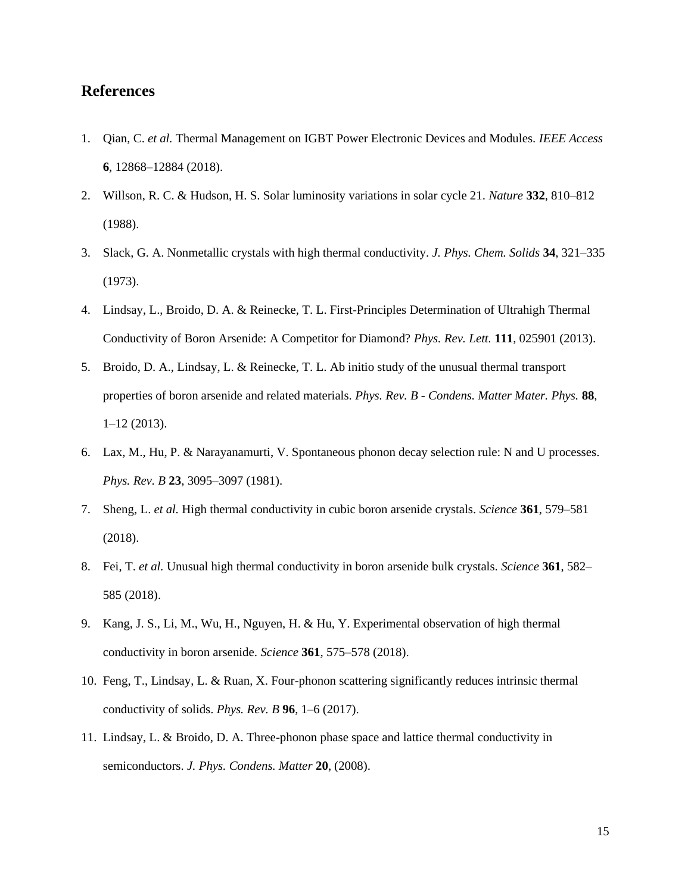### **References**

- 1. Qian, C. *et al.* Thermal Management on IGBT Power Electronic Devices and Modules. *IEEE Access* **6**, 12868–12884 (2018).
- 2. Willson, R. C. & Hudson, H. S. Solar luminosity variations in solar cycle 21. *Nature* **332**, 810–812 (1988).
- 3. Slack, G. A. Nonmetallic crystals with high thermal conductivity. *J. Phys. Chem. Solids* **34**, 321–335 (1973).
- 4. Lindsay, L., Broido, D. A. & Reinecke, T. L. First-Principles Determination of Ultrahigh Thermal Conductivity of Boron Arsenide: A Competitor for Diamond? *Phys. Rev. Lett.* **111**, 025901 (2013).
- 5. Broido, D. A., Lindsay, L. & Reinecke, T. L. Ab initio study of the unusual thermal transport properties of boron arsenide and related materials. *Phys. Rev. B - Condens. Matter Mater. Phys.* **88**, 1–12 (2013).
- 6. Lax, M., Hu, P. & Narayanamurti, V. Spontaneous phonon decay selection rule: N and U processes. *Phys. Rev. B* **23**, 3095–3097 (1981).
- 7. Sheng, L. *et al.* High thermal conductivity in cubic boron arsenide crystals. *Science* **361**, 579–581 (2018).
- 8. Fei, T. *et al.* Unusual high thermal conductivity in boron arsenide bulk crystals. *Science* **361**, 582– 585 (2018).
- 9. Kang, J. S., Li, M., Wu, H., Nguyen, H. & Hu, Y. Experimental observation of high thermal conductivity in boron arsenide. *Science* **361**, 575–578 (2018).
- 10. Feng, T., Lindsay, L. & Ruan, X. Four-phonon scattering significantly reduces intrinsic thermal conductivity of solids. *Phys. Rev. B* **96**, 1–6 (2017).
- 11. Lindsay, L. & Broido, D. A. Three-phonon phase space and lattice thermal conductivity in semiconductors. *J. Phys. Condens. Matter* **20**, (2008).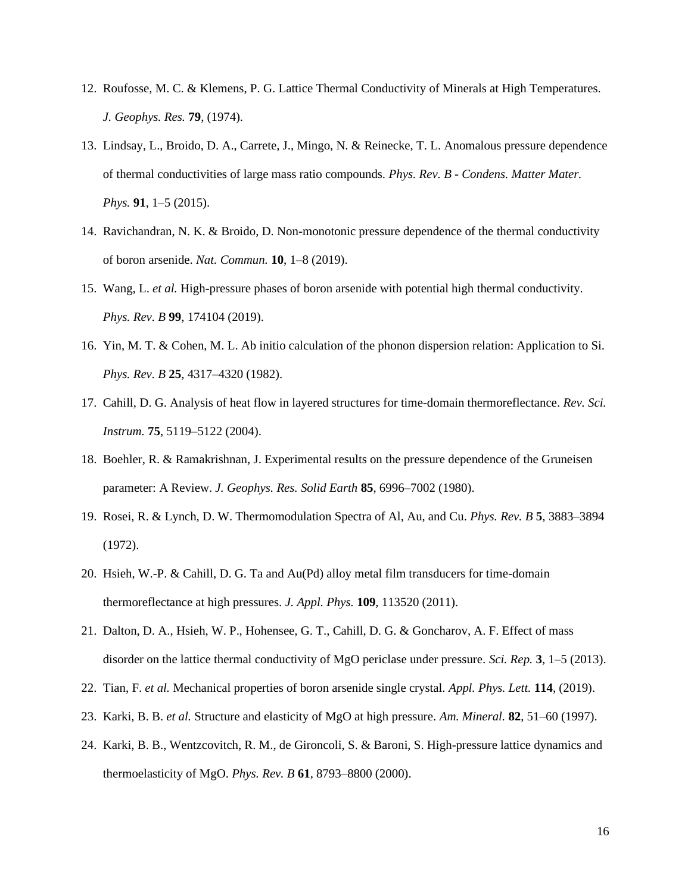- 12. Roufosse, M. C. & Klemens, P. G. Lattice Thermal Conductivity of Minerals at High Temperatures. *J. Geophys. Res.* **79**, (1974).
- 13. Lindsay, L., Broido, D. A., Carrete, J., Mingo, N. & Reinecke, T. L. Anomalous pressure dependence of thermal conductivities of large mass ratio compounds. *Phys. Rev. B - Condens. Matter Mater. Phys.* **91**, 1–5 (2015).
- 14. Ravichandran, N. K. & Broido, D. Non-monotonic pressure dependence of the thermal conductivity of boron arsenide. *Nat. Commun.* **10**, 1–8 (2019).
- 15. Wang, L. *et al.* High-pressure phases of boron arsenide with potential high thermal conductivity. *Phys. Rev. B* **99**, 174104 (2019).
- 16. Yin, M. T. & Cohen, M. L. Ab initio calculation of the phonon dispersion relation: Application to Si. *Phys. Rev. B* **25**, 4317–4320 (1982).
- 17. Cahill, D. G. Analysis of heat flow in layered structures for time-domain thermoreflectance. *Rev. Sci. Instrum.* **75**, 5119–5122 (2004).
- 18. Boehler, R. & Ramakrishnan, J. Experimental results on the pressure dependence of the Gruneisen parameter: A Review. *J. Geophys. Res. Solid Earth* **85**, 6996–7002 (1980).
- 19. Rosei, R. & Lynch, D. W. Thermomodulation Spectra of Al, Au, and Cu. *Phys. Rev. B* **5**, 3883–3894 (1972).
- 20. Hsieh, W.-P. & Cahill, D. G. Ta and Au(Pd) alloy metal film transducers for time-domain thermoreflectance at high pressures. *J. Appl. Phys.* **109**, 113520 (2011).
- 21. Dalton, D. A., Hsieh, W. P., Hohensee, G. T., Cahill, D. G. & Goncharov, A. F. Effect of mass disorder on the lattice thermal conductivity of MgO periclase under pressure. *Sci. Rep.* **3**, 1–5 (2013).
- 22. Tian, F. *et al.* Mechanical properties of boron arsenide single crystal. *Appl. Phys. Lett.* **114**, (2019).
- 23. Karki, B. B. *et al.* Structure and elasticity of MgO at high pressure. *Am. Mineral.* **82**, 51–60 (1997).
- 24. Karki, B. B., Wentzcovitch, R. M., de Gironcoli, S. & Baroni, S. High-pressure lattice dynamics and thermoelasticity of MgO. *Phys. Rev. B* **61**, 8793–8800 (2000).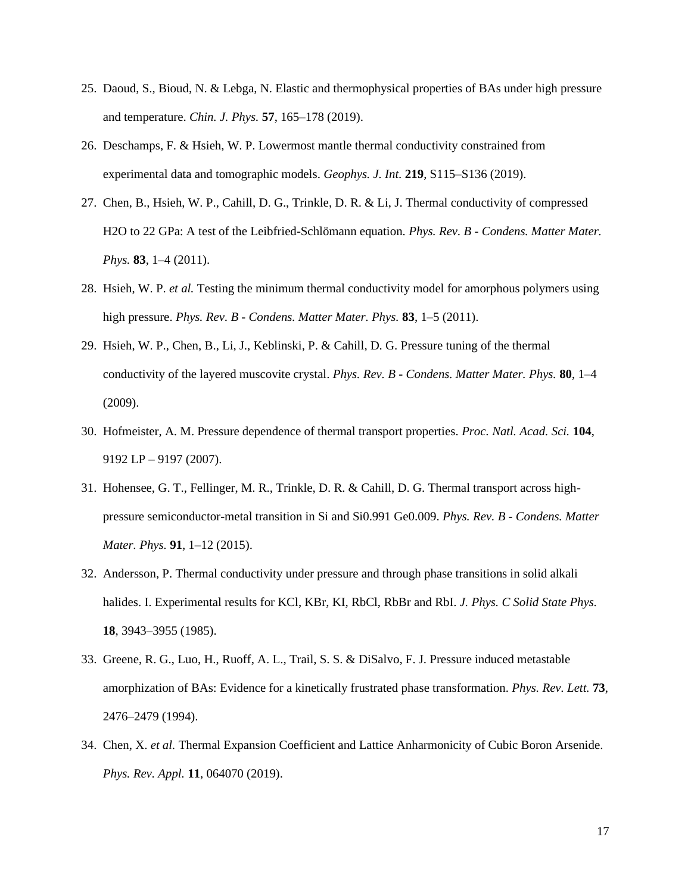- 25. Daoud, S., Bioud, N. & Lebga, N. Elastic and thermophysical properties of BAs under high pressure and temperature. *Chin. J. Phys.* **57**, 165–178 (2019).
- 26. Deschamps, F. & Hsieh, W. P. Lowermost mantle thermal conductivity constrained from experimental data and tomographic models. *Geophys. J. Int.* **219**, S115–S136 (2019).
- 27. Chen, B., Hsieh, W. P., Cahill, D. G., Trinkle, D. R. & Li, J. Thermal conductivity of compressed H2O to 22 GPa: A test of the Leibfried-Schlömann equation. *Phys. Rev. B - Condens. Matter Mater. Phys.* **83**, 1–4 (2011).
- 28. Hsieh, W. P. *et al.* Testing the minimum thermal conductivity model for amorphous polymers using high pressure. *Phys. Rev. B - Condens. Matter Mater. Phys.* **83**, 1–5 (2011).
- 29. Hsieh, W. P., Chen, B., Li, J., Keblinski, P. & Cahill, D. G. Pressure tuning of the thermal conductivity of the layered muscovite crystal. *Phys. Rev. B - Condens. Matter Mater. Phys.* **80**, 1–4 (2009).
- 30. Hofmeister, A. M. Pressure dependence of thermal transport properties. *Proc. Natl. Acad. Sci.* **104**, 9192 LP – 9197 (2007).
- 31. Hohensee, G. T., Fellinger, M. R., Trinkle, D. R. & Cahill, D. G. Thermal transport across highpressure semiconductor-metal transition in Si and Si0.991 Ge0.009. *Phys. Rev. B - Condens. Matter Mater. Phys.* **91**, 1–12 (2015).
- 32. Andersson, P. Thermal conductivity under pressure and through phase transitions in solid alkali halides. I. Experimental results for KCl, KBr, KI, RbCl, RbBr and RbI. *J. Phys. C Solid State Phys.* **18**, 3943–3955 (1985).
- 33. Greene, R. G., Luo, H., Ruoff, A. L., Trail, S. S. & DiSalvo, F. J. Pressure induced metastable amorphization of BAs: Evidence for a kinetically frustrated phase transformation. *Phys. Rev. Lett.* **73**, 2476–2479 (1994).
- 34. Chen, X. *et al.* Thermal Expansion Coefficient and Lattice Anharmonicity of Cubic Boron Arsenide. *Phys. Rev. Appl.* **11**, 064070 (2019).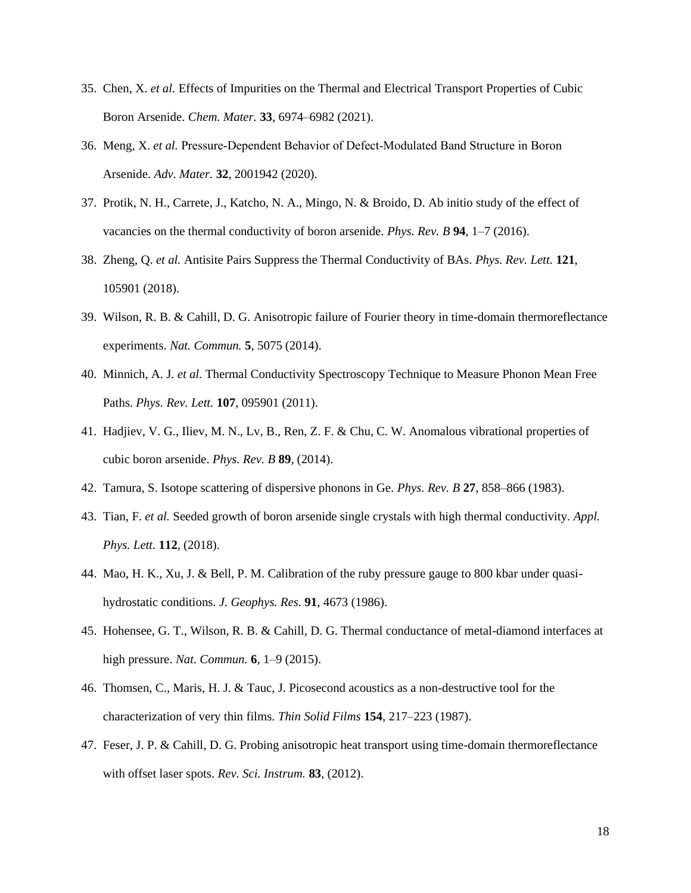- 35. Chen, X. *et al.* Effects of Impurities on the Thermal and Electrical Transport Properties of Cubic Boron Arsenide. *Chem. Mater.* **33**, 6974–6982 (2021).
- 36. Meng, X. *et al.* Pressure‐Dependent Behavior of Defect‐Modulated Band Structure in Boron Arsenide. *Adv. Mater.* **32**, 2001942 (2020).
- 37. Protik, N. H., Carrete, J., Katcho, N. A., Mingo, N. & Broido, D. Ab initio study of the effect of vacancies on the thermal conductivity of boron arsenide. *Phys. Rev. B* **94**, 1–7 (2016).
- 38. Zheng, Q. *et al.* Antisite Pairs Suppress the Thermal Conductivity of BAs. *Phys. Rev. Lett.* **121**, 105901 (2018).
- 39. Wilson, R. B. & Cahill, D. G. Anisotropic failure of Fourier theory in time-domain thermoreflectance experiments. *Nat. Commun.* **5**, 5075 (2014).
- 40. Minnich, A. J. *et al.* Thermal Conductivity Spectroscopy Technique to Measure Phonon Mean Free Paths. *Phys. Rev. Lett.* **107**, 095901 (2011).
- 41. Hadjiev, V. G., Iliev, M. N., Lv, B., Ren, Z. F. & Chu, C. W. Anomalous vibrational properties of cubic boron arsenide. *Phys. Rev. B* **89**, (2014).
- 42. Tamura, S. Isotope scattering of dispersive phonons in Ge. *Phys. Rev. B* **27**, 858–866 (1983).
- 43. Tian, F. *et al.* Seeded growth of boron arsenide single crystals with high thermal conductivity. *Appl. Phys. Lett.* **112**, (2018).
- 44. Mao, H. K., Xu, J. & Bell, P. M. Calibration of the ruby pressure gauge to 800 kbar under quasihydrostatic conditions. *J. Geophys. Res.* **91**, 4673 (1986).
- 45. Hohensee, G. T., Wilson, R. B. & Cahill, D. G. Thermal conductance of metal-diamond interfaces at high pressure. *Nat. Commun.* **6**, 1–9 (2015).
- 46. Thomsen, C., Maris, H. J. & Tauc, J. Picosecond acoustics as a non-destructive tool for the characterization of very thin films. *Thin Solid Films* **154**, 217–223 (1987).
- 47. Feser, J. P. & Cahill, D. G. Probing anisotropic heat transport using time-domain thermoreflectance with offset laser spots. *Rev. Sci. Instrum.* **83**, (2012).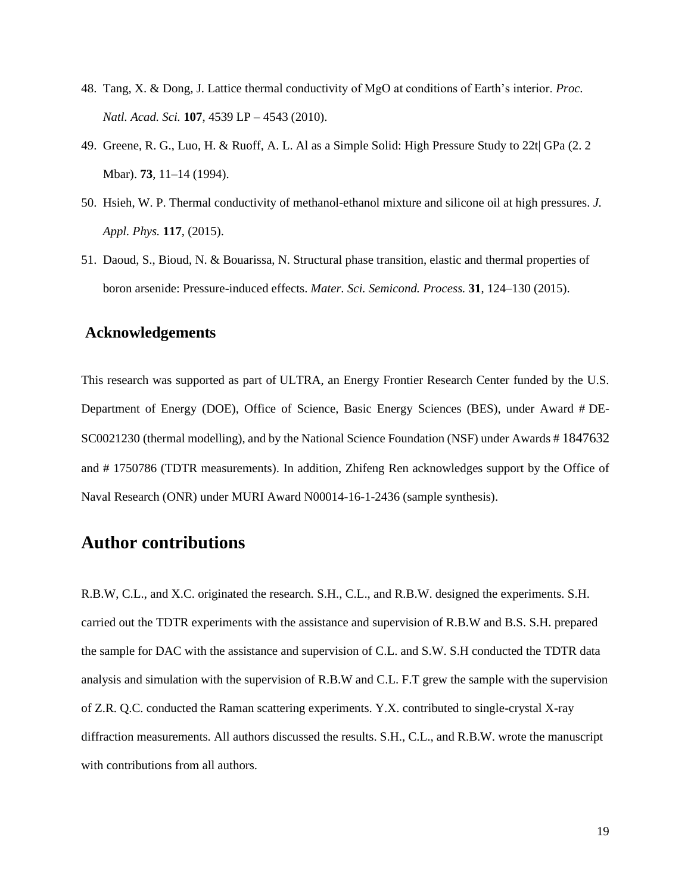- 48. Tang, X. & Dong, J. Lattice thermal conductivity of MgO at conditions of Earth's interior. *Proc. Natl. Acad. Sci.* **107**, 4539 LP – 4543 (2010).
- 49. Greene, R. G., Luo, H. & Ruoff, A. L. Al as a Simple Solid: High Pressure Study to 22t| GPa (2. 2 Mbar). **73**, 11–14 (1994).
- 50. Hsieh, W. P. Thermal conductivity of methanol-ethanol mixture and silicone oil at high pressures. *J. Appl. Phys.* **117**, (2015).
- 51. Daoud, S., Bioud, N. & Bouarissa, N. Structural phase transition, elastic and thermal properties of boron arsenide: Pressure-induced effects. *Mater. Sci. Semicond. Process.* **31**, 124–130 (2015).

#### **Acknowledgements**

This research was supported as part of ULTRA, an Energy Frontier Research Center funded by the U.S. Department of Energy (DOE), Office of Science, Basic Energy Sciences (BES), under Award # DE-SC0021230 (thermal modelling), and by the National Science Foundation (NSF) under Awards # 1847632 and # 1750786 (TDTR measurements). In addition, Zhifeng Ren acknowledges support by the Office of Naval Research (ONR) under MURI Award N00014-16-1-2436 (sample synthesis).

### **Author contributions**

R.B.W, C.L., and X.C. originated the research. S.H., C.L., and R.B.W. designed the experiments. S.H. carried out the TDTR experiments with the assistance and supervision of R.B.W and B.S. S.H. prepared the sample for DAC with the assistance and supervision of C.L. and S.W. S.H conducted the TDTR data analysis and simulation with the supervision of R.B.W and C.L. F.T grew the sample with the supervision of Z.R. Q.C. conducted the Raman scattering experiments. Y.X. contributed to single-crystal X-ray diffraction measurements. All authors discussed the results. S.H., C.L., and R.B.W. wrote the manuscript with contributions from all authors.